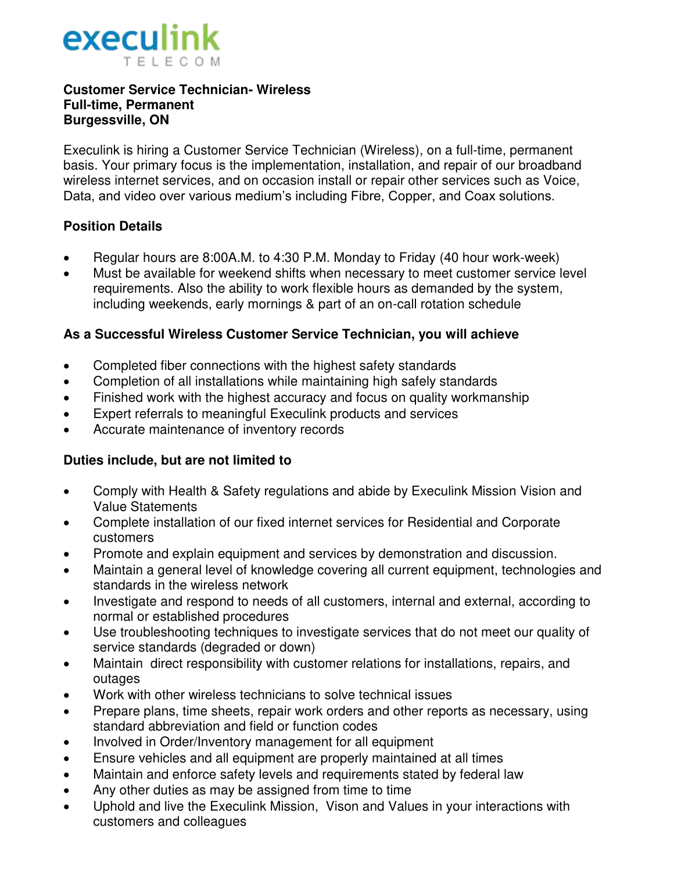

#### **Customer Service Technician- Wireless Full-time, Permanent Burgessville, ON**

Execulink is hiring a Customer Service Technician (Wireless), on a full-time, permanent basis. Your primary focus is the implementation, installation, and repair of our broadband wireless internet services, and on occasion install or repair other services such as Voice, Data, and video over various medium's including Fibre, Copper, and Coax solutions.

### **Position Details**

- Regular hours are 8:00A.M. to 4:30 P.M. Monday to Friday (40 hour work-week)
- Must be available for weekend shifts when necessary to meet customer service level requirements. Also the ability to work flexible hours as demanded by the system, including weekends, early mornings & part of an on-call rotation schedule

### **As a Successful Wireless Customer Service Technician, you will achieve**

- Completed fiber connections with the highest safety standards
- Completion of all installations while maintaining high safely standards
- Finished work with the highest accuracy and focus on quality workmanship
- Expert referrals to meaningful Execulink products and services
- Accurate maintenance of inventory records

### **Duties include, but are not limited to**

- Comply with Health & Safety regulations and abide by Execulink Mission Vision and Value Statements
- Complete installation of our fixed internet services for Residential and Corporate customers
- Promote and explain equipment and services by demonstration and discussion.
- Maintain a general level of knowledge covering all current equipment, technologies and standards in the wireless network
- Investigate and respond to needs of all customers, internal and external, according to normal or established procedures
- Use troubleshooting techniques to investigate services that do not meet our quality of service standards (degraded or down)
- Maintain direct responsibility with customer relations for installations, repairs, and outages
- Work with other wireless technicians to solve technical issues
- Prepare plans, time sheets, repair work orders and other reports as necessary, using standard abbreviation and field or function codes
- Involved in Order/Inventory management for all equipment
- Ensure vehicles and all equipment are properly maintained at all times
- Maintain and enforce safety levels and requirements stated by federal law
- Any other duties as may be assigned from time to time
- Uphold and live the Execulink Mission, Vison and Values in your interactions with customers and colleagues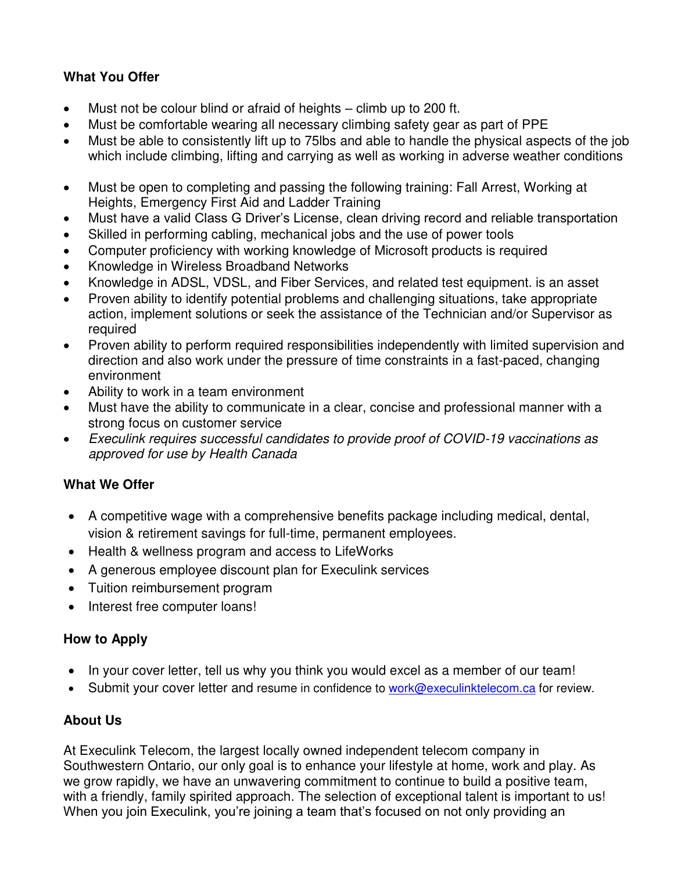# **What You Offer**

- Must not be colour blind or afraid of heights climb up to 200 ft.
- Must be comfortable wearing all necessary climbing safety gear as part of PPE
- Must be able to consistently lift up to 75lbs and able to handle the physical aspects of the job which include climbing, lifting and carrying as well as working in adverse weather conditions
- Must be open to completing and passing the following training: Fall Arrest, Working at Heights, Emergency First Aid and Ladder Training
- Must have a valid Class G Driver's License, clean driving record and reliable transportation
- Skilled in performing cabling, mechanical jobs and the use of power tools
- Computer proficiency with working knowledge of Microsoft products is required
- Knowledge in Wireless Broadband Networks
- Knowledge in ADSL, VDSL, and Fiber Services, and related test equipment. is an asset
- Proven ability to identify potential problems and challenging situations, take appropriate action, implement solutions or seek the assistance of the Technician and/or Supervisor as required
- Proven ability to perform required responsibilities independently with limited supervision and direction and also work under the pressure of time constraints in a fast-paced, changing environment
- Ability to work in a team environment
- Must have the ability to communicate in a clear, concise and professional manner with a strong focus on customer service
- Execulink requires successful candidates to provide proof of COVID-19 vaccinations as approved for use by Health Canada

## **What We Offer**

- A competitive wage with a comprehensive benefits package including medical, dental, vision & retirement savings for full-time, permanent employees.
- Health & wellness program and access to LifeWorks
- A generous employee discount plan for Execulink services
- Tuition reimbursement program
- Interest free computer loans!

### **How to Apply**

- In your cover letter, tell us why you think you would excel as a member of our team!
- Submit your cover letter and resume in confidence to [work@execulinktelecom.ca](mailto:work@execulinktelecom.ca) for review.

### **About Us**

At Execulink Telecom, the largest locally owned independent telecom company in Southwestern Ontario, our only goal is to enhance your lifestyle at home, work and play. As we grow rapidly, we have an unwavering commitment to continue to build a positive team, with a friendly, family spirited approach. The selection of exceptional talent is important to us! When you join Execulink, you're joining a team that's focused on not only providing an